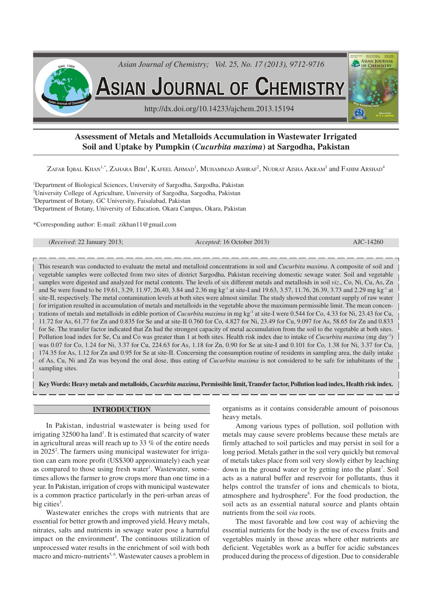

# **Assessment of Metals and Metalloids Accumulation in Wastewater Irrigated Soil and Uptake by Pumpkin (***Cucurbita maxima***) at Sargodha, Pakistan**

Zafar Iqbal Khan<sup>1,\*</sup>, Zahara Bibi<sup>1</sup>, Kafeel Ahmad<sup>1</sup>, Muhammad Ashraf<sup>2</sup>, Nudrat Aisha Akram<sup>3</sup> and Fahim Arshad<sup>4</sup>

<sup>1</sup>Department of Biological Sciences, University of Sargodha, Sargodha, Pakistan University College of Agriculture, University of Sargodha, Sargodha, Pakistan Department of Botany, GC University, Faisalabad, Pakistan Department of Botany, University of Education, Okara Campus, Okara, Pakistan

\*Corresponding author: E-mail: zikhan11@gmail.com

(*Received*: 22 January 2013; *Accepted*: 16 October 2013) AJC-14260

This research was conducted to evaluate the metal and metalloid concentrations in soil and *Cucurbita maxima*. A composite of soil and vegetable samples were collected from two sites of district Sargodha, Pakistan receiving domestic sewage water. Soil and vegetable samples were digested and analyzed for metal contents. The levels of six different metals and metalloids in soil *viz*., Co, Ni, Cu, As, Zn and Se were found to be 19.61, 3.29, 11.97, 26.40, 3.84 and 2.36 mg kg-1 at site-I and 19.63, 3.57, 11.76, 26.39, 3.73 and 2.29 mg kg-1 at site-II, respectively. The metal contamination levels at both sites were almost similar. The study showed that constant supply of raw water for irrigation resulted in accumulation of metals and metalloids in the vegetable above the maximum permissible limit. The mean concentrations of metals and metalloids in edible portion of *Cucurbita maxima* in mg kg<sup>-1</sup> at site-I were 0.544 for Co, 4.33 for Ni, 23.43 for Cu, 11.72 for As, 61.77 for Zn and 0.835 for Se and at site-II 0.760 for Co, 4.827 for Ni, 23.49 for Cu, 9.097 for As, 58.65 for Zn and 0.833 for Se. The transfer factor indicated that Zn had the strongest capacity of metal accumulation from the soil to the vegetable at both sites. Pollution load index for Se, Cu and Co was greater than 1 at both sites. Health risk index due to intake of *Cucurbita maxima* (mg day<sup>-1</sup>) was 0.07 for Co, 1.24 for Ni, 3.37 for Cu, 224.63 for As, 1.18 for Zn, 0.90 for Se at site-I and 0.101 for Co, 1.38 for Ni, 3.37 for Cu, 174.35 for As, 1.12 for Zn and 0.95 for Se at site-II. Concerning the consumption routine of residents in sampling area, the daily intake of As, Cu, Ni and Zn was beyond the oral dose, thus eating of *Cucurbita maxima* is not considered to be safe for inhabitants of the sampling sites.

**Key Words: Heavy metals and metalloids,** *Cucurbita maxima***, Permissible limit, Transfer factor, Pollution load index, Health risk index.**

## **INTRODUCTION**

In Pakistan, industrial wastewater is being used for irrigating 32500 ha land<sup>1</sup>. It is estimated that scarcity of water in agricultural areas will reach up to 33 % of the entire needs in 2025<sup>2</sup>. The farmers using municipal wastewater for irrigation can earn more profit (US\$300 approximately) each year as compared to those using fresh water<sup>1</sup>. Wastewater, sometimes allows the farmer to grow crops more than one time in a year. In Pakistan, irrigation of crops with municipal wastewater is a common practice particularly in the peri-urban areas of big cities<sup>3</sup>.

Wastewater enriches the crops with nutrients that are essential for better growth and improved yield. Heavy metals, nitrates, salts and nutrients in sewage water pose a harmful impact on the environment<sup>4</sup>. The continuous utilization of unprocessed water results in the enrichment of soil with both macro and micro-nutrients<sup>5,6</sup>. Wastewater causes a problem in

organisms as it contains considerable amount of poisonous heavy metals.

Among various types of pollution, soil pollution with metals may cause severe problems because these metals are firmly attached to soil particles and may persist in soil for a long period. Metals gather in the soil very quickly but removal of metals takes place from soil very slowly either by leaching down in the ground water or by getting into the plant<sup>7</sup>. Soil acts as a natural buffer and reservoir for pollutants, thus it helps control the transfer of ions and chemicals to biota, atmosphere and hydrosphere 8 . For the food production, the soil acts as an essential natural source and plants obtain nutrients from the soil *via* roots.

The most favorable and low cost way of achieving the essential nutrients for the body is the use of excess fruits and vegetables mainly in those areas where other nutrients are deficient. Vegetables work as a buffer for acidic substances produced during the process of digestion. Due to considerable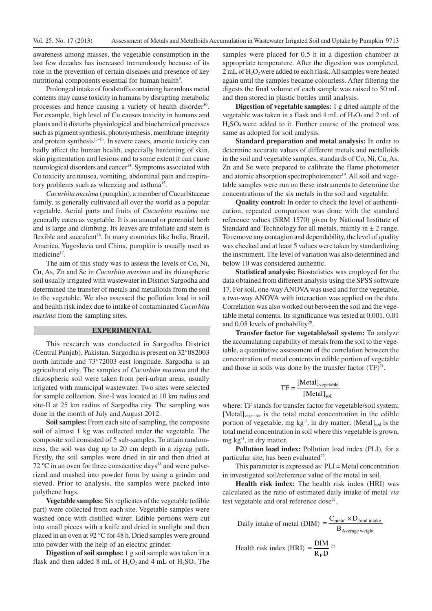awareness among masses, the vegetable consumption in the last few decades has increased tremendously because of its role in the prevention of certain diseases and presence of key nutritional components essential for human health<sup>9</sup>.

Prolonged intake of foodstuffs containing hazardous metal contents may cause toxicity in humans by disrupting metabolic processes and hence causing a variety of health disorder<sup>10</sup>. For example, high level of Cu causes toxicity in humans and plants and it disturbs physiological and biochemical processes such as pigment synthesis, photosynthesis, membrane integrity and protein synthesis<sup>11-13</sup>. In severe cases, arsenic toxicity can badly affect the human health, especially hardening of skin, skin pigmentation and lesions and to some extent it can cause neurological disorders and cancer<sup>14</sup>. Symptoms associated with Co toxicity are nausea, vomiting, abdominal pain and respiratory problems such as wheezing and asthma<sup>15</sup>.

*Cucurbita maxima* (pumpkin), a member of Cucurbitaceae family, is generally cultivated all over the world as a popular vegetable. Aerial parts and fruits of *Cucurbita maxima* are generally eaten as vegetable. It is an annual or perennial herb and is large and climbing. Its leaves are trifoliate and stem is flexible and succulent<sup>16</sup>. In many countries like India, Brazil, America, Yugoslavia and China, pumpkin is usually used as medicine<sup>17</sup>.

The aim of this study was to assess the levels of Co, Ni, Cu, As, Zn and Se in *Cucurbita maxima* and its rhizospheric soil usually irrigated with wastewater in District Sargodha and determined the transfer of metals and metalloids from the soil to the vegetable. We also assessed the pollution load in soil and health risk index due to intake of contaminated *Cucurbita maxima* from the sampling sites.

### **EXPERIMENTAL**

This research was conducted in Sargodha District (Central Punjab), Pakistan. Sargodha is present on 32°082003 north latitude and 73°72003 east longitude. Sargodha is an agricultural city. The samples of *Cucurbita maxima* and the rhizospheric soil were taken from peri-urban areas, usually irrigated with municipal wastewater. Two sites were selected for sample collection. Site-I was located at 10 km radius and site-II at 25 km radius of Sargodha city. The sampling was done in the month of July and August 2012.

**Soil samples:** From each site of sampling, the composite soil of almost 1 kg was collected under the vegetable. The composite soil consisted of 5 sub-samples. To attain randomness, the soil was dug up to 20 cm depth in a zigzag path. Firstly, the soil samples were dried in air and then dried at 72  $\rm{°C}$  in an oven for three consecutive days<sup>18</sup> and were pulverized and mashed into powder form by using a grinder and sieved. Prior to analysis, the samples were packed into polythene bags.

**Vegetable samples:**Six replicates of the vegetable (edible part) were collected from each site. Vegetable samples were washed once with distilled water. Edible portions were cut into small pieces with a knife and dried in sunlight and then placed in an oven at 92 °C for 48 h. Dried samples were ground into powder with the help of an electric grinder.

**Digestion of soil samples:** 1 g soil sample was taken in a flask and then added 8 mL of  $H_2O_2$  and 4 mL of  $H_2SO_4$ . The

samples were placed for 0.5 h in a digestion chamber at appropriate temperature. After the digestion was completed, 2 mL of H<sub>2</sub>O<sub>2</sub> were added to each flask. All samples were heated again until the samples became colourless. After filtering the digests the final volume of each sample was raised to 50 mL and then stored in plastic bottles until analysis.

**Digestion of vegetable samples:** 1 g dried sample of the vegetable was taken in a flask and  $4 \text{ mL of } H_2O_2$  and  $2 \text{ mL of } H_2O_2$  $H_2SO_4$  were added to it. Further course of the protocol was same as adopted for soil analysis.

**Standard preparation and metal analysis:** In order to determine accurate values of different metals and metalloids in the soil and vegetable samples, standards of Co, Ni, Cu, As, Zn and Se were prepared to calibrate the flame photometer and atomic absorption spectrophotometer<sup>19</sup>. All soil and vegetable samples were run on these instruments to determine the concentrations of the six metals in the soil and vegetable.

**Quality control:** In order to check the level of authentication, repeated comparison was done with the standard reference values (SRM 1570) given by National Institute of Standard and Technology for all metals, mainly in  $\pm 2$  range. To remove any contagion and dependability, the level of quality was checked and at least 5 values were taken by standardizing the instrument. The level of variation was also determined and below 10 was considered authentic.

**Statistical analysis:** Biostatistics was employed for the data obtained from different analysis using the SPSS software 17. For soil, one-way ANOVA was used and for the vegetable, a two-way ANOVA with interaction was applied on the data. Correlation was also worked out between the soil and the vegetable metal contents. Its significance was tested at 0.001, 0.01 and  $0.05$  levels of probability<sup>20</sup>.

**Transfer factor for vegetable/soil system:** To analyze the accumulating capability of metals from the soil to the vegetable, a quantitative assessment of the correlation between the concentration of metal contents in edible portion of vegetable and those in soils was done by the transfer factor  $(TF)^{21}$ .

$$
TF = \frac{[MetaI]_{vegetable}}{[MetaI]_{soil}}
$$

where: TF stands for transfer factor for vegetable/soil system; [Metal]<sub>vegetable</sub> is the total metal concentration in the edible portion of vegetable, mg kg<sup>-1</sup>, in dry matter; [Metal]<sub>soil</sub> is the total metal concentration in soil where this vegetable is grown, mg kg-1 , in dry matter.

**Pollution load index:** Pollution load index (PLI), for a particular site, has been evaluated<sup>22</sup>.

This parameter is expressed as: PLI = Metal concentration in investigated soil/reference value of the metal in soil.

**Health risk index:** The health risk index (HRI) was calculated as the ratio of estimated daily intake of metal *via* test vegetable and oral reference dose<sup>21</sup>.

Daily intake of metal (DIM) = 
$$
\frac{C_{metal} \times D_{food\ intake}}{B_{Average\ weight}}
$$
  
Health risk index (HRI) = 
$$
\frac{DIM}{R_F D}^{23}
$$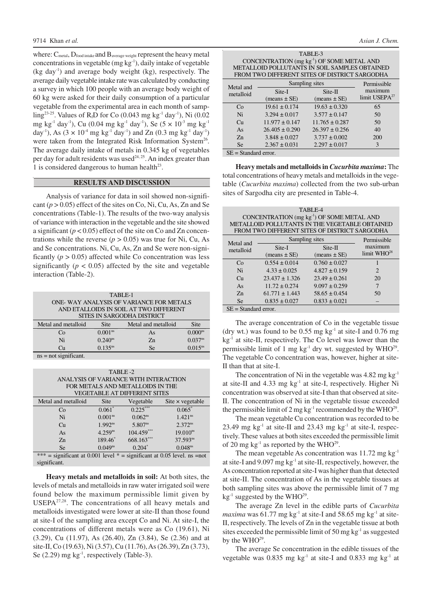where:  $C_{\text{metal}}$ ,  $D_{\text{food intake}}$  and  $B_{\text{average weight}}$  represent the heavy metal concentrations in vegetable (mg  $kg^{-1}$ ), daily intake of vegetable (kg day<sup>1</sup>) and average body weight (kg), respectively. The average daily vegetable intake rate was calculated by conducting a survey in which 100 people with an average body weight of 60 kg were asked for their daily consumption of a particular vegetable from the experimental area in each month of samp- $\text{ling}^{23-25}$ . Values of R<sub>f</sub>D for Co (0.043 mg kg<sup>-1</sup> day<sup>-1</sup>), Ni (0.02 mg kg<sup>-1</sup> day<sup>-1</sup>), Cu (0.04 mg kg<sup>-1</sup> day<sup>-1</sup>), Se (5  $\times$  10<sup>-3</sup> mg kg<sup>-1</sup> day<sup>-1</sup>), As (3  $\times$  10<sup>-4</sup> mg kg<sup>-1</sup> day<sup>-1</sup>) and Zn (0.3 mg kg<sup>-1</sup> day<sup>-1</sup>) were taken from the Integrated Risk Information System<sup>26</sup>. The average daily intake of metals in 0.345 kg of vegetables per day for adult residents was used<sup>24, 25</sup>. An index greater than 1 is considered dangerous to human health<sup>23</sup>.

#### **RESULTS AND DISCUSSION**

Analysis of variance for data in soil showed non-significant  $(p > 0.05)$  effect of the sites on Co, Ni, Cu, As, Zn and Se concentrations (Table-1). The results of the two-way analysis of variance with interaction in the vegetable and the site showed a significant  $(p < 0.05)$  effect of the site on Co and Zn concentrations while the reverse ( $p > 0.05$ ) was true for Ni, Cu, As and Se concentrations. Ni, Cu, As, Zn and Se were non-significantly  $(p > 0.05)$  affected while Co concentration was less significantly  $(p < 0.05)$  affected by the site and vegetable interaction (Table-2).

| TABLE-1                                                           |                     |                                        |                       |  |  |  |
|-------------------------------------------------------------------|---------------------|----------------------------------------|-----------------------|--|--|--|
| ONE-WAY ANALYSIS OF VARIANCE FOR METALS                           |                     |                                        |                       |  |  |  |
|                                                                   |                     | AND ETALLOIDS IN SOIL AT TWO DIFFERENT |                       |  |  |  |
| SITES IN SARGODHA DISTRICT                                        |                     |                                        |                       |  |  |  |
| Site<br>Metal and metalloid<br><b>Site</b><br>Metal and metalloid |                     |                                        |                       |  |  |  |
| Co                                                                | 0.001 <sup>ns</sup> | As                                     | 0.000 <sup>ns</sup>   |  |  |  |
| Ni                                                                | $0.240^{\text{ns}}$ | Z <sub>n</sub>                         | $0.037$ <sup>ns</sup> |  |  |  |
| Cи                                                                | $0.135^{ns}$        | <b>Se</b>                              | $0.015^{ns}$          |  |  |  |
| $ne = not$ cionificant                                            |                     |                                        |                       |  |  |  |

ns = not significant.

| TABLE-2                                                                  |                       |                                  |                         |  |  |  |  |
|--------------------------------------------------------------------------|-----------------------|----------------------------------|-------------------------|--|--|--|--|
| ANALYSIS OF VARIANCE WITH INTERACTION                                    |                       |                                  |                         |  |  |  |  |
|                                                                          |                       | FOR METALS AND METALLOIDS IN THE |                         |  |  |  |  |
|                                                                          |                       | VEGETABLE AT DIFFERENT SITES     |                         |  |  |  |  |
| Metal and metalloid                                                      | Site                  | Vegetable                        | Site $\times$ vegetable |  |  |  |  |
| Co                                                                       | $0.061*$              | $0.225***$                       | $0.065*$                |  |  |  |  |
| Ni                                                                       | 0.001 <sup>ns</sup>   | $0.062^{ns}$                     | $1.421$ <sup>ns</sup>   |  |  |  |  |
| Cu                                                                       | $1.992^{ns}$          | $5.807^{ns}$                     | $2.372^{ns}$            |  |  |  |  |
| As                                                                       | $4.259$ <sup>ns</sup> | $104.459***$                     | $19.010^{ns}$           |  |  |  |  |
| Z <sub>n</sub>                                                           | 189.46*               | 668.163**                        | $37.593^{ns}$           |  |  |  |  |
| $0.204*$<br>$0.049^{ns}$<br>0.048 <sup>ns</sup><br>Se                    |                       |                                  |                         |  |  |  |  |
| *** = significant at 0.001 level * = significant at 0.05 level. ns = not |                       |                                  |                         |  |  |  |  |
| significant.                                                             |                       |                                  |                         |  |  |  |  |

**Heavy metals and metalloids in soil:** At both sites, the levels of metals and metalloids in raw water irrigated soil were found below the maximum permissible limit given by **. The concentrations of all heavy metals and** metalloids investigated were lower at site-II than those found at site-I of the sampling area except Co and Ni. At site-I, the concentrations of different metals were as Co (19.61), Ni (3.29), Cu (11.97), As (26.40), Zn (3.84), Se (2.36) and at site-II, Co (19.63), Ni (3.57), Cu (11.76),As (26.39), Zn (3.73), Se  $(2.29)$  mg kg<sup>-1</sup>, respectively (Table-3).

|  | Asian J. Chem. |
|--|----------------|
|  |                |

| TABLE-3<br>CONCENTRATION (mg kg <sup>-1</sup> ) OF SOME METAL AND<br>METALLOID POLLUTANTS IN SOIL SAMPLES OBTAINED<br>FROM TWO DIFFERENT SITES OF DISTRICT SARGODHA |                            |                             |                                |  |  |
|---------------------------------------------------------------------------------------------------------------------------------------------------------------------|----------------------------|-----------------------------|--------------------------------|--|--|
| Metal and                                                                                                                                                           | Sampling sites             |                             | Permissible                    |  |  |
| metalloid                                                                                                                                                           | Site-I<br>$(means \pm SE)$ | Site-II<br>$(means \pm SE)$ | maximum<br>limit USEP $A^{27}$ |  |  |
| Cο                                                                                                                                                                  | $19.61 \pm 0.174$          | $19.63 \pm 0.320$           | 65                             |  |  |
| Ni                                                                                                                                                                  | $3.294 \pm 0.017$          | $3.577 \pm 0.147$           | 50                             |  |  |
| C <sub>II</sub>                                                                                                                                                     | $11.977 \pm 0.147$         | $11.765 \pm 0.287$          | 50                             |  |  |
| As                                                                                                                                                                  | $26.405 \pm 0.290$         | $26.397 \pm 0.256$          | 40                             |  |  |
| $Z_{n}$                                                                                                                                                             | $3.848 \pm 0.027$          | $3.737 \pm 0.002$           | 200                            |  |  |
| <b>Se</b>                                                                                                                                                           | $2.367 \pm 0.031$          | $2.297 \pm 0.017$           | 3                              |  |  |
| $SE = Standard error$ .                                                                                                                                             |                            |                             |                                |  |  |

**Heavy metals and metalloids in** *Cucurbita maxima***:** The total concentrations of heavy metals and metalloids in the vegetable (*Cucurbita maxima*) collected from the two sub-urban sites of Sargodha city are presented in Table-4.

| TABLE-4<br>CONCENTRATION (mg kg <sup>-1</sup> ) OF SOME METAL AND<br>METALLOID POLLUTANTS IN THE VEGETABLE OBTAINED<br>FROM TWO DIFFERENT SITES OF DISTRICT SARGODHA |                    |                   |                         |  |  |  |
|----------------------------------------------------------------------------------------------------------------------------------------------------------------------|--------------------|-------------------|-------------------------|--|--|--|
| Metal and                                                                                                                                                            | Sampling sites     |                   | Permissible             |  |  |  |
| metalloid                                                                                                                                                            | Site-I             | Site-II           | maximum                 |  |  |  |
|                                                                                                                                                                      | $(means \pm SE)$   | $(means \pm SE)$  | limit WHO <sup>28</sup> |  |  |  |
| $C_{\Omega}$                                                                                                                                                         | $0.554 \pm 0.014$  | $0.760 \pm 0.027$ |                         |  |  |  |
| Ni                                                                                                                                                                   | $4.33 \pm 0.025$   | $4.827 \pm 0.159$ | $\overline{2}$          |  |  |  |
| Cп                                                                                                                                                                   | $23.437 \pm 1.326$ | $23.49 \pm 0.261$ | 20                      |  |  |  |
| As                                                                                                                                                                   | $11.72 \pm 0.274$  | $9.097 \pm 0.259$ | 7                       |  |  |  |
| $Z_{n}$                                                                                                                                                              | $61.771 \pm 1.443$ | $58.65 \pm 0.454$ | 50                      |  |  |  |
| <b>Se</b>                                                                                                                                                            | $0.835 \pm 0.027$  | $0.833 \pm 0.021$ |                         |  |  |  |
| $SE = Standard error$ .                                                                                                                                              |                    |                   |                         |  |  |  |

The average concentration of Co in the vegetable tissue (dry wt.) was found to be  $0.55$  mg kg<sup>-1</sup> at site-I and  $0.76$  mg  $kg<sup>-1</sup>$  at site-II, respectively. The Co level was lower than the permissible limit of 1 mg  $kg^{-1}$  dry wt. suggested by WHO<sup>29</sup>. The vegetable Co concentration was, however, higher at site-II than that at site-I.

The concentration of Ni in the vegetable was  $4.82 \text{ mg kg}^{-1}$ at site-II and  $4.33 \text{ mg}$  kg<sup>-1</sup> at site-I, respectively. Higher Ni concentration was observed at site-I than that observed at site-II. The concentration of Ni in the vegetable tissue exceeded the permissible limit of 2 mg kg<sup>-1</sup> recommended by the WHO<sup>29</sup>.

The mean vegetable Cu concentration was recorded to be 23.49 mg  $kg^{-1}$  at site-II and 23.43 mg  $kg^{-1}$  at site-I, respectively. These values at both sites exceeded the permissible limit of 20 mg  $kg^{-1}$  as reported by the WHO<sup>29</sup>.

The mean vegetable As concentration was  $11.72 \text{ mg kg}^{-1}$ at site-I and 9.097 mg kg-1 at site-II, respectively, however, the As concentration reported at site-I was higher than that detected at site-II. The concentration of As in the vegetable tissues at both sampling sites was above the permissible limit of 7 mg  $kg^{-1}$  suggested by the WHO<sup>29</sup>.

The average Zn level in the edible parts of *Cucurbita maxima* was  $61.77$  mg kg<sup>-1</sup> at site-I and  $58.65$  mg kg<sup>-1</sup> at site-II, respectively. The levels of Zn in the vegetable tissue at both sites exceeded the permissible limit of 50 mg  $kg<sup>-1</sup>$  as suggested by the  $\rm{WHO^{29}}$ .

The average Se concentration in the edible tissues of the vegetable was  $0.835$  mg kg<sup>-1</sup> at site-I and  $0.833$  mg kg<sup>-1</sup> at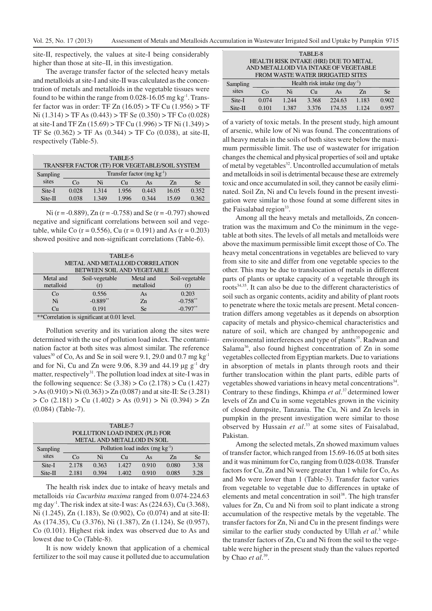site-II, respectively, the values at site-I being considerably higher than those at site–II, in this investigation.

The average transfer factor of the selected heavy metals and metalloids at site-I and site-II was calculated as the concentration of metals and metalloids in the vegetable tissues were found to be within the range from  $0.028 - 16.05$  mg kg<sup>-1</sup>. Transfer factor was in order: TF Zn (16.05) > TF Cu (1.956) > TF Ni (1.314) > TF As (0.443) > TF Se (0.350) > TF Co (0.028) at site-I and TF Zn (15.69) > TF Cu (1.996) > TF Ni (1.349) > TF Se  $(0.362)$  > TF As  $(0.344)$  > TF Co  $(0.038)$ , at site-II, respectively (Table-5).

| TABLE-5  |                                                |       |       |       |                |       |
|----------|------------------------------------------------|-------|-------|-------|----------------|-------|
|          | TRANSFER FACTOR (TF) FOR VEGETABLE/SOIL SYSTEM |       |       |       |                |       |
| Sampling | Transfer factor (mg $kg^{-1}$ )                |       |       |       |                |       |
| sites    | Co                                             | Ni    | Cu.   | As    | Z <sub>n</sub> | Se    |
| Site-I   | 0.028                                          | 1.314 | 1.956 | 0.443 | 16.05          | 0.352 |
| Site-II  | 0.038                                          | 1.349 | 1.996 | 0.344 | 15.69          | 0.362 |

Ni ( $r = -0.889$ ), Zn ( $r = -0.758$ ) and Se ( $r = -0.797$ ) showed negative and significant correlations between soil and vegetable, while Co ( $r = 0.556$ ), Cu ( $r = 0.191$ ) and As ( $r = 0.203$ ) showed positive and non-significant correlations (Table-6).

| TABLE-6   |                                                                                                         |                |                |  |  |
|-----------|---------------------------------------------------------------------------------------------------------|----------------|----------------|--|--|
|           | METAL AND METALLOID CORRELATION                                                                         |                |                |  |  |
|           | BETWEEN SOIL AND VEGETABLE                                                                              |                |                |  |  |
| Metal and | Soil-vegetable                                                                                          | Metal and      | Soil-vegetable |  |  |
| metalloid | (r)                                                                                                     | metalloid      | (r)            |  |  |
| Co        | 0.556                                                                                                   | As             | 0.203          |  |  |
| Ni        | $-0.889**$                                                                                              | Z <sub>n</sub> | $-0.758**$     |  |  |
| Cu        | 0.191                                                                                                   | <b>Se</b>      | $-0.797**$     |  |  |
|           | $*_{\mathcal{A}}$ and $*_{\mathcal{A}}$ is the state of $\alpha$ and $\alpha$ and $\alpha$ and $\alpha$ |                |                |  |  |

\*\*Correlation is significant at 0.01 level.

Pollution severity and its variation along the sites were determined with the use of pollution load index. The contamination factor at both sites was almost similar. The reference values<sup>30</sup> of Co, As and Se in soil were 9.1, 29.0 and 0.7 mg kg<sup>-1</sup> and for Ni, Cu and Zn were 9.06, 8.39 and 44.19  $\mu$ g g<sup>-1</sup> dry matter, respectively<sup>31</sup>. The pollution load index at site-I was in the following sequence: Se  $(3.38) > Co(2.178) > Cu(1.427)$  $> As (0.910) > Ni (0.363) > Zn (0.087)$  and at site-II: Se (3.281)  $>$  Co (2.181)  $>$  Cu (1.402)  $>$  As (0.91)  $>$  Ni (0.394)  $>$  Zn (0.084) (Table-7).

| TABLE-7                        |                                     |                             |       |       |                |      |
|--------------------------------|-------------------------------------|-----------------------------|-------|-------|----------------|------|
| POLLUTION LOAD INDEX (PLI) FOR |                                     |                             |       |       |                |      |
|                                |                                     | METAL AND METALLOID IN SOIL |       |       |                |      |
| Sampling                       | Pollution load index $(mg kg^{-1})$ |                             |       |       |                |      |
| sites                          | Cо                                  | Ni                          | Сu    | As    | Z <sub>n</sub> | Se   |
| Site-I                         | 2.178                               | 0.363                       | 1.427 | 0.910 | 0.080          | 3.38 |
| Site-II                        | 2.181                               | 0.394                       | 1.402 | 0.910 | 0.085          | 3.28 |

The health risk index due to intake of heavy metals and metalloids *via Cucurbita maxima* ranged from 0.074-224.63 mg day<sup>-1</sup>. The risk index at site-I was: As (224.63), Cu (3.368), Ni (1.245), Zn (1.183), Se (0.902), Co (0.074) and at site-II: As (174.35), Cu (3.376), Ni (1.387), Zn (1.124), Se (0.957), Co (0.101). Highest risk index was observed due to As and lowest due to Co (Table-8).

It is now widely known that application of a chemical fertilizer to the soil may cause it polluted due to accumulation

| TABLE-8                                                |       |       |       |                                       |                |       |
|--------------------------------------------------------|-------|-------|-------|---------------------------------------|----------------|-------|
| HEALTH RISK INTAKE (HRI) DUE TO METAL                  |       |       |       |                                       |                |       |
|                                                        |       |       |       | AND METALLOID VIA INTAKE OF VEGETABLE |                |       |
|                                                        |       |       |       | FROM WASTE WATER IRRIGATED SITES      |                |       |
| Health risk intake (mg day <sup>-1</sup> )<br>Sampling |       |       |       |                                       |                |       |
| sites                                                  | Co    | Ni    | Cп    | As                                    | Z <sub>n</sub> | Se    |
| Site-I                                                 | 0.074 | 1.244 | 3.368 | 224.63                                | 1.183          | 0.902 |
| Site-II                                                | 0.101 | 1.387 | 3.376 | 174.35                                | 1.124          | 0.957 |

of a variety of toxic metals. In the present study, high amount of arsenic, while low of Ni was found. The concentrations of all heavy metals in the soils of both sites were below the maximum permissible limit. The use of wastewater for irrigation changes the chemical and physical properties of soil and uptake of metal by vegetables<sup>32</sup>. Uncontrolled accumulation of metals and metalloids in soil is detrimental because these are extremely toxic and once accumulated in soil, they cannot be easily eliminated. Soil Zn, Ni and Cu levels found in the present investigation were similar to those found at some different sites in the Faisalabad region<sup>33</sup>.

Among all the heavy metals and metalloids, Zn concentration was the maximum and Co the minimum in the vegetable at both sites. The levels of all metals and metalloids were above the maximum permissible limit except those of Co. The heavy metal concentrations in vegetables are believed to vary from site to site and differ from one vegetable species to the other. This may be due to translocation of metals in different parts of plants or uptake capacity of a vegetable through its roots<sup>34,35</sup>. It can also be due to the different characteristics of soil such as organic contents, acidity and ability of plant roots to penetrate where the toxic metals are present. Metal concentration differs among vegetables as it depends on absorption capacity of metals and physico-chemical characteristics and nature of soil, which are changed by anthropogenic and environmental interferences and type of plants<sup>35</sup>. Radwan and Salama<sup>36</sup>, also found highest concentration of Zn in some vegetables collected from Egyptian markets. Due to variations in absorption of metals in plants through roots and their further translocation within the plant parts, edible parts of vegetables showed variations in heavy metal concentrations<sup>34</sup>. Contrary to these findings, Khimpa et al.<sup>37</sup> determined lower levels of Zn and Cu in some vegetables grown in the vicinity of closed dumpsite, Tanzania. The Cu, Ni and Zn levels in pumpkin in the present investigation were similar to those observed by Hussain *et al*. <sup>33</sup> at some sites of Faisalabad, Pakistan.

Among the selected metals, Zn showed maximum values of transfer factor, which ranged from 15.69-16.05 at both sites and it was minimum for Co, ranging from 0.028-0.038. Transfer factors for Cu, Zn and Ni were greater than 1 while for Co, As and Mo were lower than 1 (Table-3). Transfer factor varies from vegetable to vegetable due to differences in uptake of elements and metal concentration in soil<sup>38</sup>. The high transfer values for Zn, Cu and Ni from soil to plant indicate a strong accumulation of the respective metals by the vegetable. The transfer factors for Zn, Ni and Cu in the present findings were similar to the earlier study conducted by Ullah et al.<sup>3</sup> while the transfer factors of Zn, Cu and Ni from the soil to the vegetable were higher in the present study than the values reported by Chao *et al*. 39 .